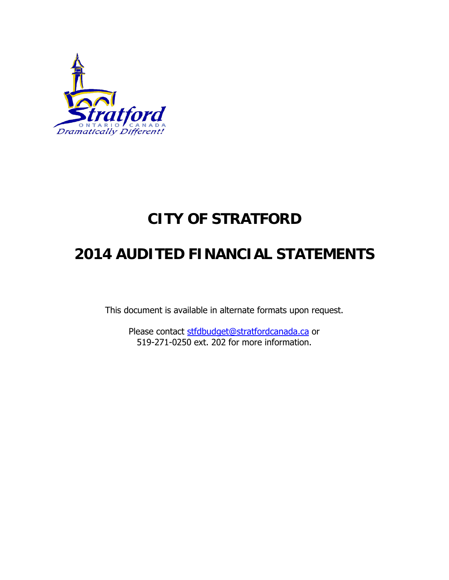

## **CITY OF STRATFORD**

# **2014 AUDITED FINANCIAL STATEMENTS**

This document is available in alternate formats upon request.

Please contact [stfdbudget@stratfordcanada.ca](mailto:stfdbudget@stratfordcanada.ca) or 519-271-0250 ext. 202 for more information.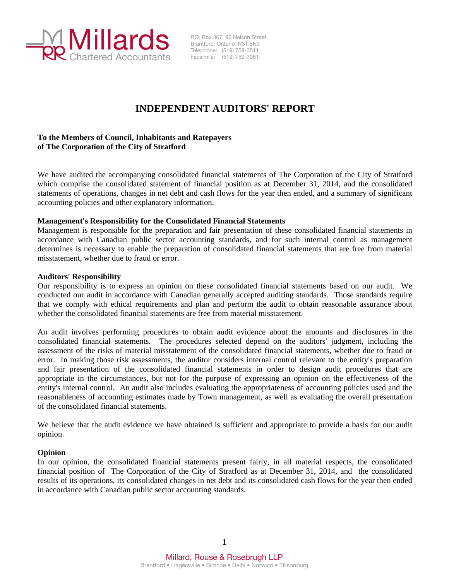

P.O. Box 367, 96 Nelson Street<br>Brantford, Ontario N3T 5N3 Brantford, Ontario N3T 5N3 Telephone: (519) 759-3511 Facsimile: (519) 759-7961

## **INDEPENDENT AUDITORS' REPORT**

## **To the Members of Council, Inhabitants and Ratepayers of The Corporation of the City of Stratford**

We have audited the accompanying consolidated financial statements of The Corporation of the City of Stratford which comprise the consolidated statement of financial position as at December 31, 2014, and the consolidated statements of operations, changes in net debt and cash flows for the year then ended, and a summary of significant accounting policies and other explanatory information.

## **Management's Responsibility for the Consolidated Financial Statements**

Management is responsible for the preparation and fair presentation of these consolidated financial statements in accordance with Canadian public sector accounting standards, and for such internal control as management determines is necessary to enable the preparation of consolidated financial statements that are free from material misstatement, whether due to fraud or error.

## **Auditors' Responsibility**

Our responsibility is to express an opinion on these consolidated financial statements based on our audit. We conducted our audit in accordance with Canadian generally accepted auditing standards. Those standards require that we comply with ethical requirements and plan and perform the audit to obtain reasonable assurance about whether the consolidated financial statements are free from material misstatement.

An audit involves performing procedures to obtain audit evidence about the amounts and disclosures in the consolidated financial statements. The procedures selected depend on the auditors' judgment, including the assessment of the risks of material misstatement of the consolidated financial statements, whether due to fraud or error. In making those risk assessments, the auditor considers internal control relevant to the entity's preparation and fair presentation of the consolidated financial statements in order to design audit procedures that are appropriate in the circumstances, but not for the purpose of expressing an opinion on the effectiveness of the entity's internal control. An audit also includes evaluating the appropriateness of accounting policies used and the reasonableness of accounting estimates made by Town management, as well as evaluating the overall presentation of the consolidated financial statements.

We believe that the audit evidence we have obtained is sufficient and appropriate to provide a basis for our audit opinion.

## **Opinion**

In our opinion, the consolidated financial statements present fairly, in all material respects, the consolidated financial position of The Corporation of the City of Stratford as at December 31, 2014, and the consolidated results of its operations, its consolidated changes in net debt and its consolidated cash flows for the year then ended in accordance with Canadian public sector accounting standards.

1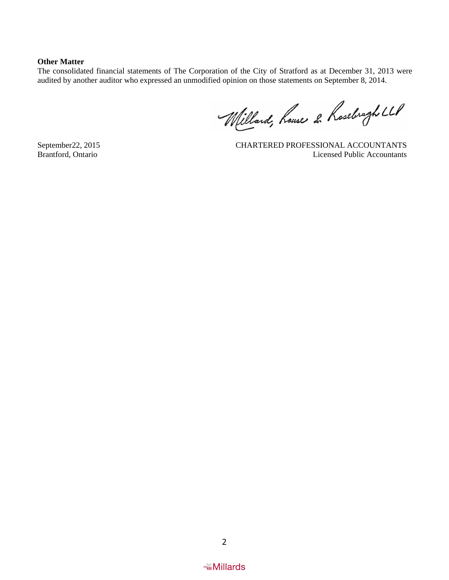## **Other Matter**

The consolidated financial statements of The Corporation of the City of Stratford as at December 31, 2013 were audited by another auditor who expressed an unmodified opinion on those statements on September 8, 2014.

Millard, house 2 hosebragh LLP

September22, 2015 CHARTERED PROFESSIONAL ACCOUNTANTS Brantford, Ontario Licensed Public Accountants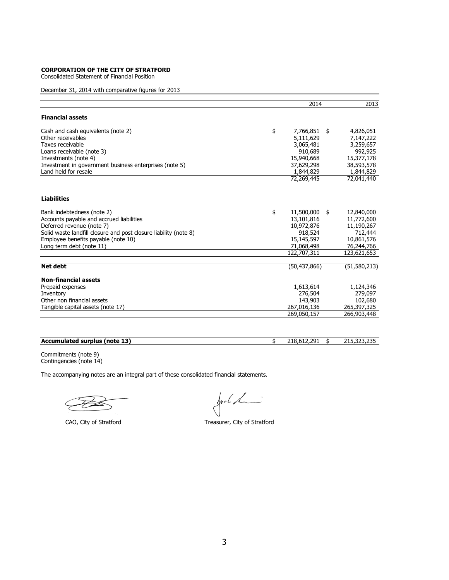Consolidated Statement of Financial Position

December 31, 2014 with comparative figures for 2013

|                                                                  |    | 2014             | 2013         |  |
|------------------------------------------------------------------|----|------------------|--------------|--|
| <b>Financial assets</b>                                          |    |                  |              |  |
| Cash and cash equivalents (note 2)                               | \$ | 7,766,851<br>\$  | 4,826,051    |  |
| Other receivables                                                |    | 5,111,629        | 7,147,222    |  |
| Taxes receivable                                                 |    | 3,065,481        | 3,259,657    |  |
| Loans receivable (note 3)                                        |    | 910,689          | 992,925      |  |
| Investments (note 4)                                             |    | 15,940,668       | 15,377,178   |  |
| Investment in government business enterprises (note 5)           |    | 37,629,298       | 38,593,578   |  |
| Land held for resale                                             |    | 1,844,829        | 1,844,829    |  |
|                                                                  |    | 72,269,445       | 72,041,440   |  |
|                                                                  |    |                  |              |  |
| <b>Liabilities</b>                                               |    |                  |              |  |
| Bank indebtedness (note 2)                                       | \$ | 11,500,000<br>\$ | 12,840,000   |  |
| Accounts payable and accrued liabilities                         |    | 13,101,816       | 11,772,600   |  |
| Deferred revenue (note 7)                                        |    | 10,972,876       | 11,190,267   |  |
| Solid waste landfill closure and post closure liability (note 8) |    | 918,524          | 712,444      |  |
| Employee benefits payable (note 10)                              |    | 15,145,597       | 10,861,576   |  |
| Long term debt (note 11)                                         |    | 71,068,498       | 76,244,766   |  |
|                                                                  |    | 122,707,311      | 123,621,653  |  |
| <b>Net debt</b>                                                  |    | (50,437,866)     | (51,580,213) |  |
| <b>Non-financial assets</b>                                      |    |                  |              |  |
| Prepaid expenses                                                 |    | 1,613,614        | 1,124,346    |  |
| Inventory                                                        |    | 276,504          | 279,097      |  |
| Other non financial assets                                       |    | 143,903          | 102,680      |  |
| Tangible capital assets (note 17)                                |    | 267,016,136      | 265,397,325  |  |
|                                                                  |    | 269.050.157      | 266,903,448  |  |

| (note 13)<br><b>Accu</b><br>surplus<br>aula*<br>rea | <b>612201</b><br>. . | $- - -$ |
|-----------------------------------------------------|----------------------|---------|
|                                                     |                      |         |

Commitments (note 9) Contingencies (note 14)

politica

CAO, City of Stratford Treasurer, City of Stratford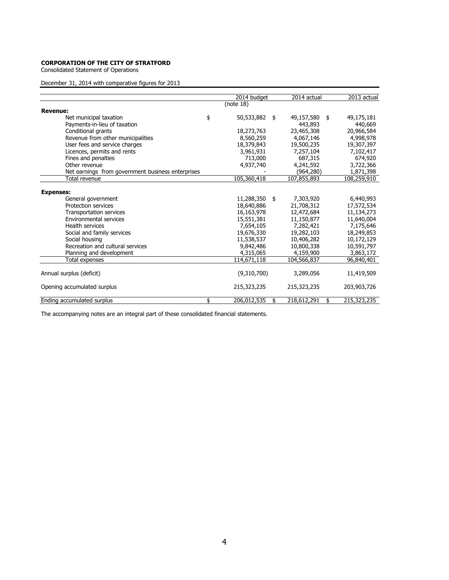Consolidated Statement of Operations

December 31, 2014 with comparative figures for 2013

|                                                   | 2014 budget       | 2014 actual       | 2013 actual       |
|---------------------------------------------------|-------------------|-------------------|-------------------|
|                                                   | (note 18)         |                   |                   |
| <b>Revenue:</b>                                   |                   |                   |                   |
| Net municipal taxation                            | \$<br>50,533,882  | \$<br>49,157,580  | \$<br>49,175,181  |
| Payments-in-lieu of taxation                      |                   | 443,893           | 440.669           |
| Conditional grants                                | 18,273,763        | 23,465,308        | 20,966,584        |
| Revenue from other municipalities                 | 8,560,259         | 4,067,146         | 4,998,978         |
| User fees and service charges                     | 18,379,843        | 19,500,235        | 19,307,397        |
| Licences, permits and rents                       | 3,961,931         | 7,257,104         | 7,102,417         |
| Fines and penalties                               | 713,000           | 687,315           | 674,920           |
| Other revenue                                     | 4,937,740         | 4,241,592         | 3,722,366         |
| Net earnings from government business enterprises |                   | (964,280)         | 1,871,398         |
| Total revenue                                     | 105,360,418       | 107,855,893       | 108,259,910       |
|                                                   |                   |                   |                   |
| <b>Expenses:</b>                                  |                   |                   |                   |
| General government                                | 11,288,350        | \$<br>7,303,920   | 6,440,993         |
| Protection services                               | 18,640,886        | 21,708,312        | 17,572,534        |
| <b>Transportation services</b>                    | 16,163,978        | 12,472,684        | 11,134,273        |
| Environmental services                            | 15,551,381        | 11,150,877        | 11,640,004        |
| Health services                                   | 7,654,105         | 7,282,421         | 7,175,646         |
| Social and family services                        | 19,676,330        | 19,282,103        | 18,249,853        |
| Social housing                                    | 11,538,537        | 10,406,282        | 10,172,129        |
| Recreation and cultural services                  | 9,842,486         | 10,800,338        | 10,591,797        |
| Planning and development                          | 4,315,065         | 4,159,900         | 3,863,172         |
| Total expenses                                    | 114,671,118       | 104,566,837       | 96.840.401        |
|                                                   |                   |                   |                   |
| Annual surplus (deficit)                          | (9,310,700)       | 3,289,056         | 11,419,509        |
|                                                   |                   |                   |                   |
| Opening accumulated surplus                       | 215,323,235       | 215,323,235       | 203,903,726       |
|                                                   |                   |                   |                   |
| Ending accumulated surplus                        | \$<br>206,012,535 | \$<br>218,612,291 | \$<br>215,323,235 |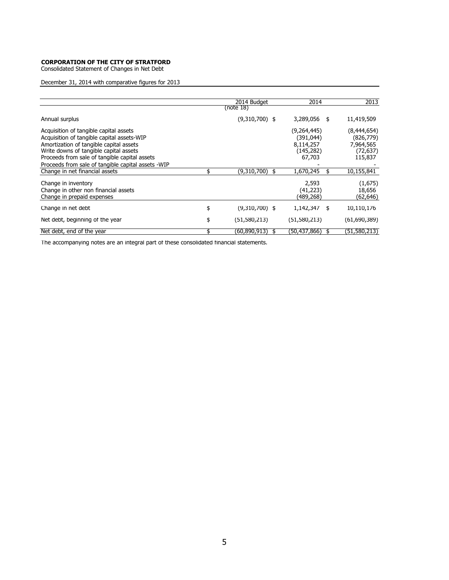Consolidated Statement of Changes in Net Debt

## December 31, 2014 with comparative figures for 2013

|                                                                                                                                                                                                                                                                                  | 2014 Budget            | 2014                                                          | 2013                                                           |
|----------------------------------------------------------------------------------------------------------------------------------------------------------------------------------------------------------------------------------------------------------------------------------|------------------------|---------------------------------------------------------------|----------------------------------------------------------------|
|                                                                                                                                                                                                                                                                                  | (note 18)              |                                                               |                                                                |
| Annual surplus                                                                                                                                                                                                                                                                   | $(9,310,700)$ \$       | 3,289,056                                                     | \$<br>11,419,509                                               |
| Acquisition of tangible capital assets<br>Acquisition of tangible capital assets-WIP<br>Amortization of tangible capital assets<br>Write downs of tangible capital assets<br>Proceeds from sale of tangible capital assets<br>Proceeds from sale of tangible capital assets -WIP |                        | (9,264,445)<br>(391, 044)<br>8,114,257<br>(145,282)<br>67,703 | (8,444,654)<br>(826, 779)<br>7,964,565<br>(72, 637)<br>115,837 |
| Change in net financial assets                                                                                                                                                                                                                                                   | (9,310,700)<br>\$      | 1,670,245                                                     | 10,155,841                                                     |
| Change in inventory<br>Change in other non financial assets<br>Change in prepaid expenses                                                                                                                                                                                        |                        | 2,593<br>(41,223)<br>(489,268)                                | (1,675)<br>18,656<br>(62,646)                                  |
| Change in net debt                                                                                                                                                                                                                                                               | \$<br>$(9,310,700)$ \$ | 1,142,347                                                     | \$<br>10,110,176                                               |
| Net debt, beginning of the year                                                                                                                                                                                                                                                  | \$<br>(51, 580, 213)   | (51, 580, 213)                                                | (61, 690, 389)                                                 |
| Net debt, end of the year                                                                                                                                                                                                                                                        | (60,890,913)           | (50,437,866)                                                  | (51,580,213)                                                   |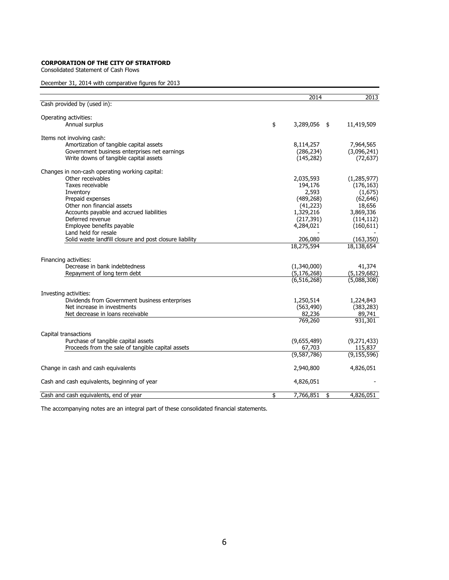Consolidated Statement of Cash Flows

December 31, 2014 with comparative figures for 2013

|                                                         | 2014                  | 2013          |
|---------------------------------------------------------|-----------------------|---------------|
| Cash provided by (used in):                             |                       |               |
| Operating activities:                                   |                       |               |
| Annual surplus                                          | \$<br>3,289,056 \$    | 11,419,509    |
| Items not involving cash:                               |                       |               |
| Amortization of tangible capital assets                 | 8,114,257             | 7,964,565     |
| Government business enterprises net earnings            | (286, 234)            | (3,096,241)   |
| Write downs of tangible capital assets                  | (145, 282)            | (72, 637)     |
| Changes in non-cash operating working capital:          |                       |               |
| Other receivables                                       | 2,035,593             | (1,285,977)   |
| Taxes receivable                                        | 194,176               | (176, 163)    |
| Inventory                                               | 2,593                 | (1,675)       |
| Prepaid expenses                                        | (489, 268)            | (62, 646)     |
| Other non financial assets                              | (41, 223)             | 18,656        |
| Accounts payable and accrued liabilities                | 1,329,216             | 3,869,336     |
| Deferred revenue                                        | (217, 391)            | (114, 112)    |
| Employee benefits payable                               | 4,284,021             | (160, 611)    |
| Land held for resale                                    |                       |               |
| Solid waste landfill closure and post closure liability | 206,080               | (163, 350)    |
|                                                         | 18,275,594            | 18,138,654    |
| Financing activities:                                   |                       |               |
| Decrease in bank indebtedness                           | (1,340,000)           | 41,374        |
| Repayment of long term debt                             | (5, 176, 268)         | (5, 129, 682) |
|                                                         | (6, 516, 268)         | (5,088,308)   |
| Investing activities:                                   |                       |               |
| Dividends from Government business enterprises          | 1,250,514             | 1,224,843     |
| Net increase in investments                             | (563, 490)            | (383, 283)    |
| Net decrease in loans receivable                        | 82,236                | 89,741        |
|                                                         | 769,260               | 931,301       |
| Capital transactions                                    |                       |               |
| Purchase of tangible capital assets                     | (9,655,489)           | (9,271,433)   |
| Proceeds from the sale of tangible capital assets       | 67,703                | 115,837       |
|                                                         | (9, 587, 786)         | (9, 155, 596) |
| Change in cash and cash equivalents                     | 2,940,800             | 4,826,051     |
| Cash and cash equivalents, beginning of year            | 4,826,051             |               |
| Cash and cash equivalents, end of year                  | \$<br>7,766,851<br>\$ | 4,826,051     |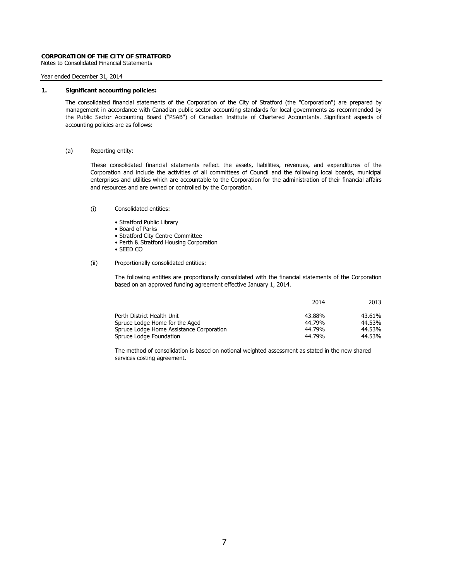Year ended December 31, 2014

## **1. Significant accounting policies:**

The consolidated financial statements of the Corporation of the City of Stratford (the "Corporation") are prepared by management in accordance with Canadian public sector accounting standards for local governments as recommended by the Public Sector Accounting Board ("PSAB") of Canadian Institute of Chartered Accountants. Significant aspects of accounting policies are as follows:

## (a) Reporting entity:

These consolidated financial statements reflect the assets, liabilities, revenues, and expenditures of the Corporation and include the activities of all committees of Council and the following local boards, municipal enterprises and utilities which are accountable to the Corporation for the administration of their financial affairs and resources and are owned or controlled by the Corporation.

- (i) Consolidated entities:
	- Stratford Public Library
	- Board of Parks
	- Stratford City Centre Committee
	- Perth & Stratford Housing Corporation
	- SEED CO
- (ii) Proportionally consolidated entities:

The following entities are proportionally consolidated with the financial statements of the Corporation based on an approved funding agreement effective January 1, 2014.

|                                          | 2014   | 2013   |
|------------------------------------------|--------|--------|
| Perth District Health Unit               | 43.88% | 43.61% |
| Spruce Lodge Home for the Aged           | 44.79% | 44.53% |
| Spruce Lodge Home Assistance Corporation | 44.79% | 44.53% |
| Spruce Lodge Foundation                  | 44.79% | 44.53% |

The method of consolidation is based on notional weighted assessment as stated in the new shared services costing agreement.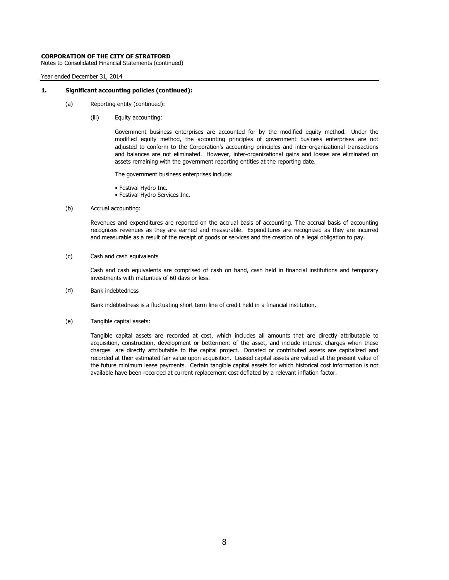Notes to Consolidated Financial Statements (continued)

Year ended December 31, 2014

## **1. Significant accounting policies (continued):**

- (a) Reporting entity (continued):
	- (iii) Equity accounting:

Government business enterprises are accounted for by the modified equity method. Under the modified equity method, the accounting principles of government business enterprises are not adjusted to conform to the Corporation's accounting principles and inter-organizational transactions and balances are not eliminated. However, inter-organizational gains and losses are eliminated on assets remaining with the government reporting entities at the reporting date.

The government business enterprises include:

- Festival Hydro Inc.
- Festival Hydro Services Inc.
- (b) Accrual accounting:

Revenues and expenditures are reported on the accrual basis of accounting. The accrual basis of accounting recognizes revenues as they are earned and measurable. Expenditures are recognized as they are incurred and measurable as a result of the receipt of goods or services and the creation of a legal obligation to pay.

(c) Cash and cash equivalents

Cash and cash equivalents are comprised of cash on hand, cash held in financial institutions and temporary investments with maturities of 60 days or less.

(d) Bank indebtedness

Bank indebtedness is a fluctuating short term line of credit held in a financial institution.

(e) Tangible capital assets:

Tangible capital assets are recorded at cost, which includes all amounts that are directly attributable to acquisition, construction, development or betterment of the asset, and include interest charges when these charges are directly attributable to the capital project. Donated or contributed assets are capitalized and recorded at their estimated fair value upon acquisition. Leased capital assets are valued at the present value of the future minimum lease payments. Certain tangible capital assets for which historical cost information is not available have been recorded at current replacement cost deflated by a relevant inflation factor.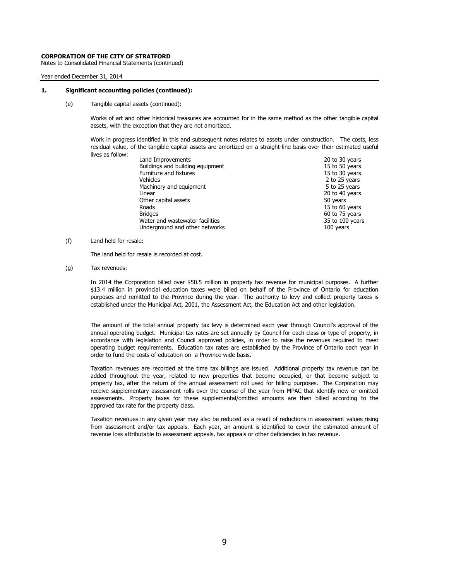Notes to Consolidated Financial Statements (continued)

Year ended December 31, 2014

#### **1. Significant accounting policies (continued):**

(e) Tangible capital assets (continued):

Works of art and other historical treasures are accounted for in the same method as the other tangible capital assets, with the exception that they are not amortized.

Work in progress identified in this and subsequent notes relates to assets under construction. The costs, less residual value, of the tangible capital assets are amortized on a straight-line basis over their estimated useful lives as follow:

| 20 to 30 years  |
|-----------------|
| 15 to 50 years  |
| 15 to 30 years  |
| 2 to 25 years   |
| 5 to 25 years   |
| 20 to 40 years  |
| 50 years        |
| 15 to 60 years  |
| 60 to 75 years  |
| 35 to 100 years |
| 100 years       |
|                 |

(f) Land held for resale:

The land held for resale is recorded at cost.

(g) Tax revenues:

In 2014 the Corporation billed over \$50.5 million in property tax revenue for municipal purposes. A further \$13.4 million in provincial education taxes were billed on behalf of the Province of Ontario for education purposes and remitted to the Province during the year. The authority to levy and collect property taxes is established under the Municipal Act, 2001, the Assessment Act, the Education Act and other legislation.

The amount of the total annual property tax levy is determined each year through Council's approval of the annual operating budget. Municipal tax rates are set annually by Council for each class or type of property, in accordance with legislation and Council approved policies, in order to raise the revenues required to meet operating budget requirements. Education tax rates are established by the Province of Ontario each year in order to fund the costs of education on a Province wide basis.

Taxation revenues are recorded at the time tax billings are issued. Additional property tax revenue can be added throughout the year, related to new properties that become occupied, or that become subject to property tax, after the return of the annual assessment roll used for billing purposes. The Corporation may receive supplementary assessment rolls over the course of the year from MPAC that identify new or omitted assessments. Property taxes for these supplemental/omitted amounts are then billed according to the approved tax rate for the property class.

Taxation revenues in any given year may also be reduced as a result of reductions in assessment values rising from assessment and/or tax appeals. Each year, an amount is identified to cover the estimated amount of revenue loss attributable to assessment appeals, tax appeals or other deficiencies in tax revenue.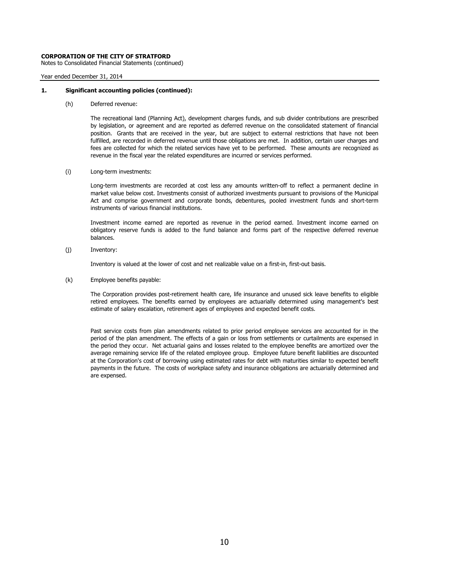Notes to Consolidated Financial Statements (continued)

Year ended December 31, 2014

#### **1. Significant accounting policies (continued):**

(h) Deferred revenue:

The recreational land (Planning Act), development charges funds, and sub divider contributions are prescribed by legislation, or agreement and are reported as deferred revenue on the consolidated statement of financial position. Grants that are received in the year, but are subject to external restrictions that have not been fulfilled, are recorded in deferred revenue until those obligations are met. In addition, certain user charges and fees are collected for which the related services have yet to be performed. These amounts are recognized as revenue in the fiscal year the related expenditures are incurred or services performed.

(i) Long-term investments:

Long-term investments are recorded at cost less any amounts written-off to reflect a permanent decline in market value below cost. Investments consist of authorized investments pursuant to provisions of the Municipal Act and comprise government and corporate bonds, debentures, pooled investment funds and short-term instruments of various financial institutions.

Investment income earned are reported as revenue in the period earned. Investment income earned on obligatory reserve funds is added to the fund balance and forms part of the respective deferred revenue balances.

(j) Inventory:

Inventory is valued at the lower of cost and net realizable value on a first-in, first-out basis.

(k) Employee benefits payable:

The Corporation provides post-retirement health care, life insurance and unused sick leave benefits to eligible retired employees. The benefits earned by employees are actuarially determined using management's best estimate of salary escalation, retirement ages of employees and expected benefit costs.

Past service costs from plan amendments related to prior period employee services are accounted for in the period of the plan amendment. The effects of a gain or loss from settlements or curtailments are expensed in the period they occur. Net actuarial gains and losses related to the employee benefits are amortized over the average remaining service life of the related employee group. Employee future benefit liabilities are discounted at the Corporation's cost of borrowing using estimated rates for debt with maturities similar to expected benefit payments in the future. The costs of workplace safety and insurance obligations are actuarially determined and are expensed.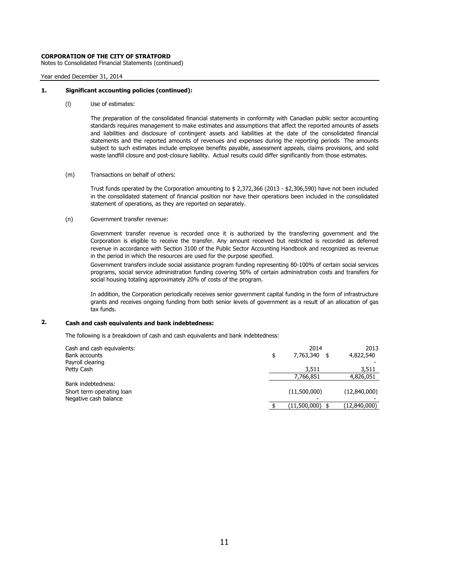Notes to Consolidated Financial Statements (continued)

Year ended December 31, 2014

#### **1. Significant accounting policies (continued):**

(l) Use of estimates:

The preparation of the consolidated financial statements in conformity with Canadian public sector accounting standards requires management to make estimates and assumptions that affect the reported amounts of assets and liabilities and disclosure of contingent assets and liabilities at the date of the consolidated financial statements and the reported amounts of revenues and expenses during the reporting periods The amounts subject to such estimates include employee benefits payable, assessment appeals, claims provisions, and solid waste landfill closure and post-closure liability. Actual results could differ significantly from those estimates.

(m) Transactions on behalf of others:

Trust funds operated by the Corporation amounting to \$ 2,372,366 (2013 - \$2,306,590) have not been included in the consolidated statement of financial position nor have their operations been included in the consolidated statement of operations, as they are reported on separately.

## (n) Government transfer revenue:

Government transfer revenue is recorded once it is authorized by the transferring government and the Corporation is eligible to receive the transfer. Any amount received but restricted is recorded as deferred revenue in accordance with Section 3100 of the Public Sector Accounting Handbook and recognized as revenue in the period in which the resources are used for the purpose specified.

Government transfers include social assistance program funding representing 80-100% of certain social services programs, social service administration funding covering 50% of certain administration costs and transfers for social housing totaling approximately 20% of costs of the program.

In addition, the Corporation periodically receives senior government capital funding in the form of infrastructure grants and receives ongoing funding from both senior levels of government as a result of an allocation of gas tax funds.

#### **2. Cash and cash equivalents and bank indebtedness:**

The following is a breakdown of cash and cash equivalents and bank indebtedness:

| Cash and cash equivalents: |    | 2014         | 2013         |
|----------------------------|----|--------------|--------------|
| Bank accounts              | \$ | 7.763.340 \$ | 4,822,540    |
| Payroll clearing           |    |              |              |
| Petty Cash                 |    | 3,511        | 3,511        |
|                            |    | 7,766,851    | 4,826,051    |
| Bank indebtedness:         |    |              |              |
| Short term operating loan  |    | (11,500,000) | (12,840,000) |
| Negative cash balance      |    |              |              |
|                            |    | (11,500,000) | (12,840,000) |
|                            |    |              |              |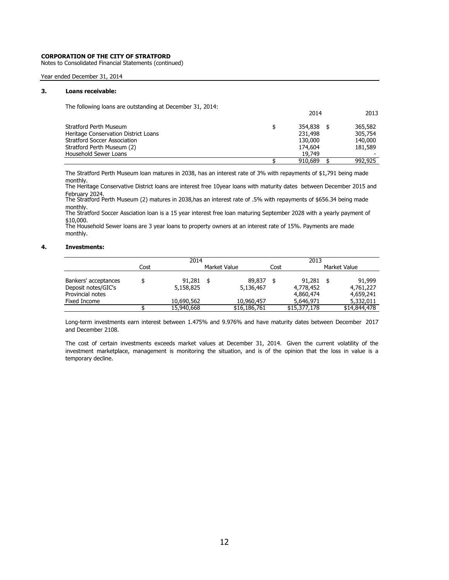Notes to Consolidated Financial Statements (continued)

Year ended December 31, 2014

#### **3. Loans receivable:**

The following loans are outstanding at December 31, 2014:

|                                      | 2014    | 2013    |
|--------------------------------------|---------|---------|
| Stratford Perth Museum               | 354,838 | 365,582 |
| Heritage Conservation District Loans | 231,498 | 305,754 |
| <b>Stratford Soccer Association</b>  | 130,000 | 140,000 |
| Stratford Perth Museum (2)           | 174,604 | 181,589 |
| Household Sewer Loans                | 19.749  |         |
|                                      | 910,689 | 992,925 |

The Stratford Perth Museum loan matures in 2038, has an interest rate of 3% with repayments of \$1,791 being made

monthly. The Heritage Conservative District loans are interest free 10year loans with maturity dates between December 2015 and

February 2024. The Stratford Perth Museum (2) matures in 2038,has an interest rate of .5% with repayments of \$656.34 being made monthly.

The Stratford Soccer Assciation loan is a 15 year interest free loan maturing September 2028 with a yearly payment of

\$10,000. The Household Sewer loans are 3 year loans to property owners at an interest rate of 15%. Payments are made monthly.

## **4. Investments:**

|                                                                 |      | 2014                |              |                     |      | 2013                             |                                  |
|-----------------------------------------------------------------|------|---------------------|--------------|---------------------|------|----------------------------------|----------------------------------|
|                                                                 | Cost |                     | Market Value |                     | Cost |                                  | Market Value                     |
| Bankers' acceptances<br>Deposit notes/GIC's<br>Provincial notes |      | 91,281<br>5,158,825 |              | 89,837<br>5,136,467 |      | 91.281<br>4,778,452<br>4,860,474 | 91,999<br>4,761,227<br>4,659,241 |
| Fixed Income                                                    |      | 10,690,562          |              | 10,960,457          |      | 5.646.971                        | 5,332,011                        |
|                                                                 |      | 15,940,668          |              | \$16,186,761        |      | \$15,377,178                     | \$14,844,478                     |

Long-term investments earn interest between 1.475% and 9.976% and have maturity dates between December 2017 and December 2108.

The cost of certain investments exceeds market values at December 31, 2014. Given the current volatility of the investment marketplace, management is monitoring the situation, and is of the opinion that the loss in value is a temporary decline.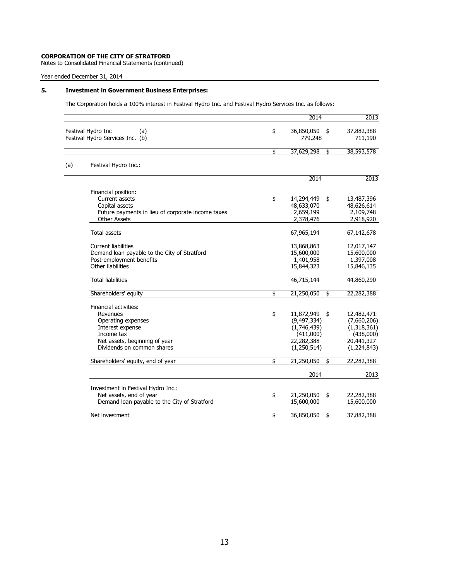Notes to Consolidated Financial Statements (continued)

Year ended December 31, 2014

## **5. Investment in Government Business Enterprises:**

The Corporation holds a 100% interest in Festival Hydro Inc. and Festival Hydro Services Inc. as follows:

|     |                                                               | 2014                   | 2013          |
|-----|---------------------------------------------------------------|------------------------|---------------|
|     | Festival Hydro Inc<br>(a)                                     | \$<br>36,850,050<br>\$ | 37,882,388    |
|     | Festival Hydro Services Inc. (b)                              | 779,248                | 711,190       |
|     |                                                               |                        |               |
|     |                                                               | \$<br>37,629,298<br>\$ | 38,593,578    |
| (a) | Festival Hydro Inc.:                                          |                        |               |
|     |                                                               | 2014                   | 2013          |
|     |                                                               |                        |               |
|     | Financial position:                                           |                        |               |
|     | Current assets                                                | \$<br>14,294,449<br>\$ | 13,487,396    |
|     | Capital assets                                                | 48,633,070             | 48,626,614    |
|     | Future payments in lieu of corporate income taxes             | 2,659,199              | 2,109,748     |
|     | <b>Other Assets</b>                                           | 2,378,476              | 2,918,920     |
|     | Total assets                                                  | 67,965,194             | 67,142,678    |
|     | <b>Current liabilities</b>                                    | 13,868,863             | 12,017,147    |
|     | Demand loan payable to the City of Stratford                  | 15,600,000             | 15,600,000    |
|     | Post-employment benefits                                      | 1,401,958              | 1,397,008     |
|     | Other liabilities                                             | 15,844,323             | 15,846,135    |
|     | <b>Total liabilities</b>                                      | 46,715,144             | 44,860,290    |
|     | Shareholders' equity                                          | \$<br>21,250,050<br>\$ | 22,282,388    |
|     |                                                               |                        |               |
|     | <b>Financial activities:</b>                                  |                        |               |
|     | Revenues                                                      | \$<br>11,872,949<br>\$ | 12,482,471    |
|     | Operating expenses                                            | (9,497,334)            | (7,660,206)   |
|     | Interest expense                                              | (1,746,439)            | (1,318,361)   |
|     | Income tax                                                    | (411,000)              | (438,000)     |
|     | Net assets, beginning of year                                 | 22,282,388             | 20,441,327    |
|     | Dividends on common shares                                    | (1,250,514)            | (1, 224, 843) |
|     | Shareholders' equity, end of year                             | \$<br>21,250,050<br>\$ | 22,282,388    |
|     |                                                               | 2014                   | 2013          |
|     |                                                               |                        |               |
|     | Investment in Festival Hydro Inc.:<br>Net assets, end of year | 21,250,050             | 22,282,388    |
|     |                                                               | \$<br>\$               |               |
|     | Demand loan payable to the City of Stratford                  | 15,600,000             | 15,600,000    |
|     | Net investment                                                | \$<br>36,850,050<br>\$ | 37,882,388    |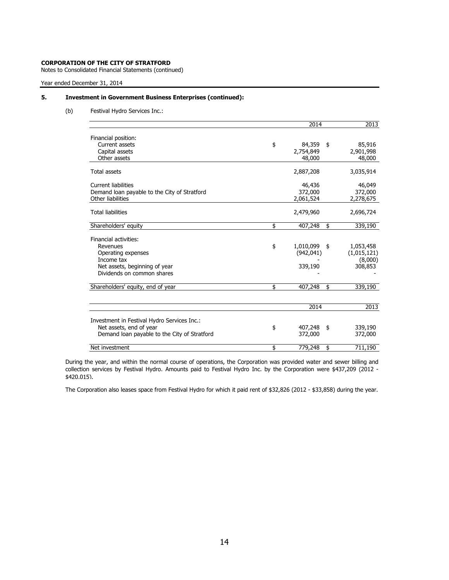Notes to Consolidated Financial Statements (continued)

Year ended December 31, 2014

## **5. Investment in Government Business Enterprises (continued):**

## (b) Festival Hydro Services Inc.:

|                                              | 2014            | 2013            |
|----------------------------------------------|-----------------|-----------------|
| Financial position:                          |                 |                 |
| Current assets                               | \$<br>84,359    | \$<br>85,916    |
| Capital assets                               | 2,754,849       | 2,901,998       |
| Other assets                                 | 48,000          | 48,000          |
| Total assets                                 | 2,887,208       | 3,035,914       |
| <b>Current liabilities</b>                   | 46,436          | 46,049          |
| Demand loan payable to the City of Stratford | 372,000         | 372,000         |
| Other liabilities                            | 2,061,524       | 2,278,675       |
| <b>Total liabilities</b>                     | 2,479,960       | 2,696,724       |
| Shareholders' equity                         | \$<br>407,248   | \$<br>339,190   |
| Financial activities:                        |                 |                 |
| Revenues                                     | \$<br>1,010,099 | \$<br>1,053,458 |
| Operating expenses                           | (942, 041)      | (1,015,121)     |
| Income tax                                   |                 | (8,000)         |
| Net assets, beginning of year                | 339,190         | 308,853         |
| Dividends on common shares                   |                 |                 |
| Shareholders' equity, end of year            | \$<br>407,248   | \$<br>339,190   |
|                                              |                 |                 |
|                                              | 2014            | 2013            |
| Investment in Festival Hydro Services Inc.:  |                 |                 |
| Net assets, end of year                      | \$<br>407,248   | \$<br>339,190   |
| Demand loan payable to the City of Stratford | 372,000         | 372,000         |
|                                              |                 |                 |
| Net investment                               | \$<br>779,248   | \$<br>711,190   |

During the year, and within the normal course of operations, the Corporation was provided water and sewer billing and collection services by Festival Hydro. Amounts paid to Festival Hydro Inc. by the Corporation were \$437,209 (2012 - \$420,015).

The Corporation also leases space from Festival Hydro for which it paid rent of \$32,826 (2012 - \$33,858) during the year.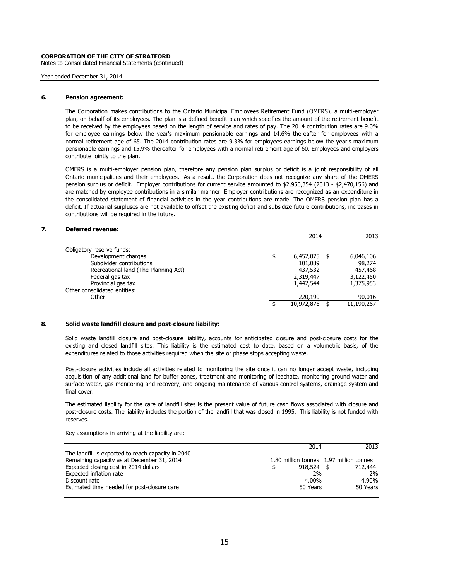Notes to Consolidated Financial Statements (continued)

## Year ended December 31, 2014

#### **6. Pension agreement:**

The Corporation makes contributions to the Ontario Municipal Employees Retirement Fund (OMERS), a multi-employer plan, on behalf of its employees. The plan is a defined benefit plan which specifies the amount of the retirement benefit to be received by the employees based on the length of service and rates of pay. The 2014 contribution rates are 9.0% for employee earnings below the year's maximum pensionable earnings and 14.6% thereafter for employees with a normal retirement age of 65. The 2014 contribution rates are 9.3% for employees earnings below the year's maximum pensionable earnings and 15.9% thereafter for employees with a normal retirement age of 60. Employees and employers contribute jointly to the plan.

OMERS is a multi-employer pension plan, therefore any pension plan surplus or deficit is a joint responsibility of all Ontario municipalities and their employees. As a result, the Corporation does not recognize any share of the OMERS pension surplus or deficit. Employer contributions for current service amounted to \$2,950,354 (2013 - \$2,470,156) and are matched by employee contributions in a similar manner. Employer contributions are recognized as an expenditure in the consolidated statement of financial activities in the year contributions are made. The OMERS pension plan has a deficit. If actuarial surpluses are not available to offset the existing deficit and subsidize future contributions, increases in contributions will be required in the future.

2014 2013

## **7. Deferred revenue:**

| Obligatory reserve funds:            |                 |            |
|--------------------------------------|-----------------|------------|
| Development charges                  | \$<br>6,452,075 | 6,046,106  |
| Subdivider contributions             | 101,089         | 98,274     |
| Recreational land (The Planning Act) | 437,532         | 457,468    |
| Federal gas tax                      | 2,319,447       | 3,122,450  |
| Provincial gas tax                   | 1,442,544       | 1,375,953  |
| Other consolidated entities:         |                 |            |
| Other                                | 220,190         | 90,016     |
|                                      | 10,972,876      | 11,190,267 |

#### **8. Solid waste landfill closure and post-closure liability:**

Solid waste landfill closure and post-closure liability, accounts for anticipated closure and post-closure costs for the existing and closed landfill sites. This liability is the estimated cost to date, based on a volumetric basis, of the expenditures related to those activities required when the site or phase stops accepting waste.

Post-closure activities include all activities related to monitoring the site once it can no longer accept waste, including acquisition of any additional land for buffer zones, treatment and monitoring of leachate, monitoring ground water and surface water, gas monitoring and recovery, and ongoing maintenance of various control systems, drainage system and final cover.

The estimated liability for the care of landfill sites is the present value of future cash flows associated with closure and post-closure costs. The liability includes the portion of the landfill that was closed in 1995. This liability is not funded with reserves.

Key assumptions in arriving at the liability are:

|                                                    | 2014                                    | 2013     |
|----------------------------------------------------|-----------------------------------------|----------|
| The landfill is expected to reach capacity in 2040 |                                         |          |
| Remaining capacity as at December 31, 2014         | 1.80 million tonnes 1.97 million tonnes |          |
| Expected closing cost in 2014 dollars              | 918.524<br>\$<br>\$                     | 712,444  |
| Expected inflation rate                            | 2%                                      | ን‰       |
| Discount rate                                      | $4.00\%$                                | 4.90%    |
| Estimated time needed for post-closure care        | 50 Years                                | 50 Years |
|                                                    |                                         |          |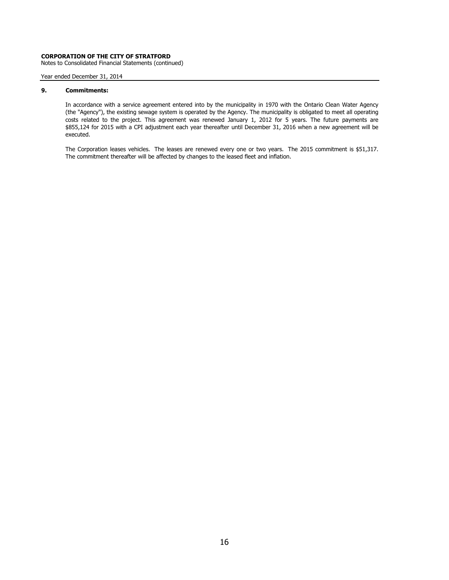Notes to Consolidated Financial Statements (continued)

Year ended December 31, 2014

#### **9. Commitments:**

In accordance with a service agreement entered into by the municipality in 1970 with the Ontario Clean Water Agency (the "Agency"), the existing sewage system is operated by the Agency. The municipality is obligated to meet all operating costs related to the project. This agreement was renewed January 1, 2012 for 5 years. The future payments are \$855,124 for 2015 with a CPI adjustment each year thereafter until December 31, 2016 when a new agreement will be executed.

The Corporation leases vehicles. The leases are renewed every one or two years. The 2015 commitment is \$51,317. The commitment thereafter will be affected by changes to the leased fleet and inflation.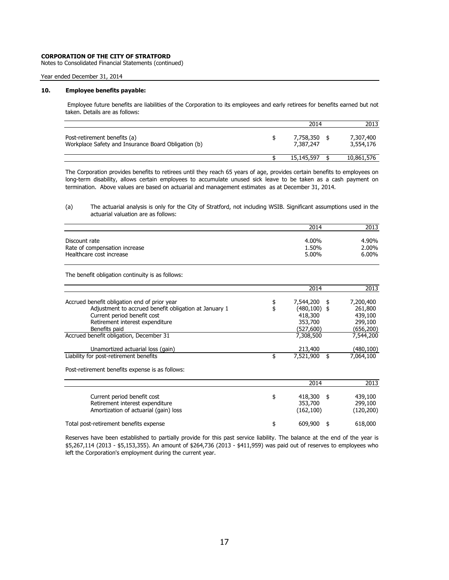Notes to Consolidated Financial Statements (continued)

## Year ended December 31, 2014

#### **10. Employee benefits payable:**

Employee future benefits are liabilities of the Corporation to its employees and early retirees for benefits earned but not taken. Details are as follows:

|                                                                                     | 2014                   | 2013                   |
|-------------------------------------------------------------------------------------|------------------------|------------------------|
| Post-retirement benefits (a)<br>Workplace Safety and Insurance Board Obligation (b) | 7,758,350<br>7,387,247 | 7,307,400<br>3,554,176 |
|                                                                                     | 15,145,597             | 10,861,576             |

The Corporation provides benefits to retirees until they reach 65 years of age, provides certain benefits to employees on long-term disability, allows certain employees to accumulate unused sick leave to be taken as a cash payment on termination. Above values are based on actuarial and management estimates as at December 31, 2014.

#### (a) The actuarial analysis is only for the City of Stratford, not including WSIB. Significant assumptions used in the actuarial valuation are as follows:

|                                                                            | 2014                    | 2013                    |
|----------------------------------------------------------------------------|-------------------------|-------------------------|
| Discount rate<br>Rate of compensation increase<br>Healthcare cost increase | 4.00%<br>1.50%<br>5.00% | 4.90%<br>2.00%<br>6.00% |
|                                                                            |                         |                         |

The benefit obligation continuity is as follows:

|                                                       | 2014            | 2013       |
|-------------------------------------------------------|-----------------|------------|
| Accrued benefit obligation end of prior year          | 7,544,200       | 7,200,400  |
| Adjustment to accrued benefit obligation at January 1 | $(480, 100)$ \$ | 261,800    |
| Current period benefit cost                           | 418,300         | 439,100    |
| Retirement interest expenditure                       | 353,700         | 299,100    |
| Benefits paid                                         | (527,600)       | (656, 200) |
| Accrued benefit obligation, December 31               | 7,308,500       | 7,544,200  |
| Unamortized actuarial loss (gain)                     | 213,400         | (480,100)  |
| Liability for post-retirement benefits                | 7,521,900       | 7,064,100  |

Post-retirement benefits expense is as follows:

|                                                                                                         | 2014                             | 2013                             |
|---------------------------------------------------------------------------------------------------------|----------------------------------|----------------------------------|
| Current period benefit cost<br>Retirement interest expenditure<br>Amortization of actuarial (gain) loss | 418.300<br>353,700<br>(162, 100) | 439,100<br>299,100<br>(120, 200) |
| Total post-retirement benefits expense                                                                  | 609,900                          | 618,000                          |

Reserves have been established to partially provide for this past service liability. The balance at the end of the year is \$5,267,114 (2013 - \$5,153,355). An amount of \$264,736 (2013 - \$411,959) was paid out of reserves to employees who left the Corporation's employment during the current year.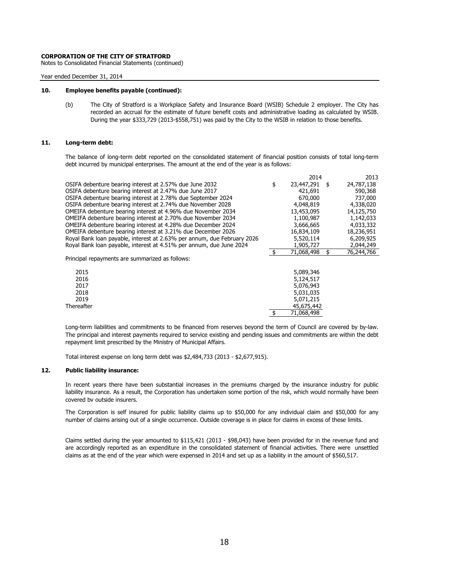Notes to Consolidated Financial Statements (continued)

Year ended December 31, 2014

#### **10. Employee benefits payable (continued):**

(b) The City of Stratford is a Workplace Safety and Insurance Board (WSIB) Schedule 2 employer. The City has recorded an accrual for the estimate of future benefit costs and administrative loading as calculated by WSIB. During the year \$333,729 (2013-\$558,751) was paid by the City to the WSIB in relation to those benefits.

#### **11. Long-term debt:**

The balance of long-term debt reported on the consolidated statement of financial position consists of total long-term debt incurred by municipal enterprises. The amount at the end of the year is as follows:

|                                                                         | 2014             | 2013             |
|-------------------------------------------------------------------------|------------------|------------------|
| OSIFA debenture bearing interest at 2.57% due June 2032                 | \$<br>23,447,291 | \$<br>24,787,138 |
| OSIFA debenture bearing interest at 2.47% due June 2017                 | 421,691          | 590,368          |
| OSIFA debenture bearing interest at 2.78% due September 2024            | 670,000          | 737,000          |
| OSIFA debenture bearing interest at 2.74% due November 2028             | 4,048,819        | 4,338,020        |
| OMEIFA debenture bearing interest at 4.96% due November 2034            | 13,453,095       | 14,125,750       |
| OMEIFA debenture bearing interest at 2.70% due November 2034            | 1,100,987        | 1,142,033        |
| OMEIFA debenture bearing interest at 4.28% due December 2024            | 3,666,665        | 4,033,332        |
| OMEIFA debenture bearing interest at 3.21% due December 2026            | 16,834,109       | 18,236,951       |
| Royal Bank loan payable, interest at 2.63% per annum, due February 2026 | 5,520,114        | 6,209,925        |
| Royal Bank loan payable, interest at 4.51% per annum, due June 2024     | 1,905,727        | 2,044,249        |
|                                                                         | 71,068,498       | \$<br>76,244,766 |
| Principal repayments are summarized as follows:                         |                  |                  |
| 2015                                                                    | 5,089,346        |                  |
| 2016                                                                    | 5,124,517        |                  |
| 2017                                                                    | 5,076,943        |                  |
| 2018                                                                    | 5,031,035        |                  |
| 2019                                                                    | 5,071,215        |                  |
| Thereafter                                                              | 45,675,442       |                  |
|                                                                         | 71,068,498       |                  |

Long-term liabilities and commitments to be financed from reserves beyond the term of Council are covered by by-law. The principal and interest payments required to service existing and pending issues and commitments are within the debt repayment limit prescribed by the Ministry of Municipal Affairs.

Total interest expense on long term debt was \$2,484,733 (2013 - \$2,677,915).

## **12. Public liability insurance:**

In recent years there have been substantial increases in the premiums charged by the insurance industry for public liability insurance. As a result, the Corporation has undertaken some portion of the risk, which would normally have been covered by outside insurers.

The Corporation is self insured for public liability claims up to \$50,000 for any individual claim and \$50,000 for any number of claims arising out of a single occurrence. Outside coverage is in place for claims in excess of these limits.

Claims settled during the year amounted to \$115,421 (2013 - \$98,043) have been provided for in the revenue fund and are accordingly reported as an expenditure in the consolidated statement of financial activities. There were unsettled claims as at the end of the year which were expensed in 2014 and set up as a liability in the amount of \$560,517.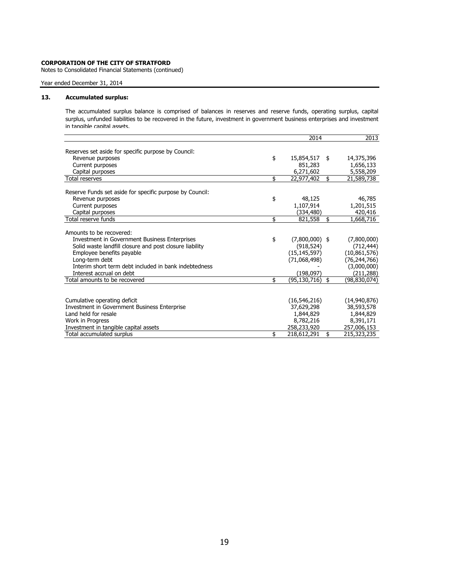Notes to Consolidated Financial Statements (continued)

## Year ended December 31, 2014

## **13. Accumulated surplus:**

The accumulated surplus balance is comprised of balances in reserves and reserve funds, operating surplus, capital surplus, unfunded liabilities to be recovered in the future, investment in government business enterprises and investment in tangible capital assets.

|                                                          | 2014                       | 2013           |
|----------------------------------------------------------|----------------------------|----------------|
| Reserves set aside for specific purpose by Council:      |                            |                |
| Revenue purposes                                         | \$<br>15,854,517<br>\$     | 14,375,396     |
| Current purposes                                         | 851,283                    | 1,656,133      |
| Capital purposes                                         | 6,271,602                  | 5,558,209      |
| Total reserves                                           | \$<br>\$<br>22,977,402     | 21,589,738     |
| Reserve Funds set aside for specific purpose by Council: |                            |                |
| Revenue purposes                                         | \$<br>48,125               | 46,785         |
| Current purposes                                         | 1,107,914                  | 1,201,515      |
| Capital purposes                                         | (334, 480)                 | 420,416        |
| Total reserve funds                                      | \$<br>821,558              | 1,668,716      |
| Amounts to be recovered:                                 |                            |                |
| <b>Investment in Government Business Enterprises</b>     | \$<br>$(7,800,000)$ \$     | (7,800,000)    |
| Solid waste landfill closure and post closure liability  | (918, 524)                 | (712, 444)     |
| Employee benefits payable                                | (15, 145, 597)             | (10,861,576)   |
| Long-term debt                                           | (71,068,498)               | (76, 244, 766) |
| Interim short term debt included in bank indebtedness    |                            | (3,000,000)    |
| Interest accrual on debt                                 | (198,097)                  | (211,288)      |
| Total amounts to be recovered                            | \$<br>(95, 130, 716)<br>\$ | (98, 830, 074) |
|                                                          |                            |                |
| Cumulative operating deficit                             | (16, 546, 216)             | (14,940,876)   |
| Investment in Government Business Enterprise             | 37,629,298                 | 38,593,578     |
| Land held for resale                                     | 1,844,829                  | 1,844,829      |
| Work in Progress                                         | 8,782,216                  | 8,391,171      |
| Investment in tangible capital assets                    | 258,233,920                | 257,006,153    |
| Total accumulated surplus                                | \$<br>\$<br>218,612,291    | 215,323,235    |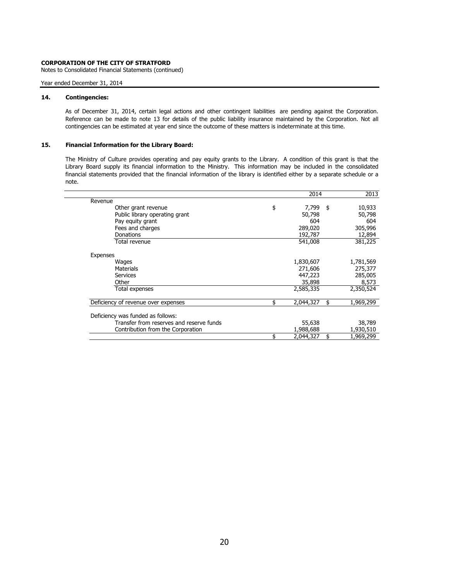Notes to Consolidated Financial Statements (continued)

## Year ended December 31, 2014

## **14. Contingencies:**

As of December 31, 2014, certain legal actions and other contingent liabilities are pending against the Corporation. Reference can be made to note 13 for details of the public liability insurance maintained by the Corporation. Not all contingencies can be estimated at year end since the outcome of these matters is indeterminate at this time.

## **15. Financial Information for the Library Board:**

The Ministry of Culture provides operating and pay equity grants to the Library. A condition of this grant is that the Library Board supply its financial information to the Ministry. This information may be included in the consolidated financial statements provided that the financial information of the library is identified either by a separate schedule or a note.

|                                          | 2014            |      | 2013      |
|------------------------------------------|-----------------|------|-----------|
| Revenue                                  |                 |      |           |
| Other grant revenue                      | \$<br>7,799     | - \$ | 10,933    |
| Public library operating grant           | 50,798          |      | 50,798    |
| Pay equity grant                         | 604             |      | 604       |
| Fees and charges                         | 289,020         |      | 305,996   |
| <b>Donations</b>                         | 192,787         |      | 12,894    |
| Total revenue                            | 541,008         |      | 381,225   |
| Expenses                                 |                 |      |           |
| Wages                                    | 1,830,607       |      | 1,781,569 |
| <b>Materials</b>                         | 271,606         |      | 275,377   |
| <b>Services</b>                          | 447,223         |      | 285,005   |
| Other                                    | 35,898          |      | 8,573     |
| Total expenses                           | 2,585,335       |      | 2,350,524 |
| Deficiency of revenue over expenses      | \$<br>2,044,327 | \$   | 1,969,299 |
|                                          |                 |      |           |
| Deficiency was funded as follows:        |                 |      |           |
| Transfer from reserves and reserve funds | 55,638          |      | 38,789    |
| Contribution from the Corporation        | 1,988,688       |      | 1,930,510 |
|                                          | \$<br>2,044,327 | \$   | 1,969,299 |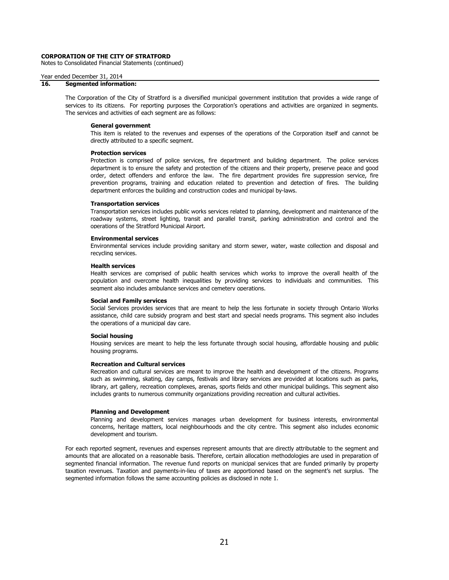Notes to Consolidated Financial Statements (continued)

Year ended December 31, 2014<br>**16.** Segmented informa

## **16. Segmented information:**

The Corporation of the City of Stratford is a diversified municipal government institution that provides a wide range of services to its citizens. For reporting purposes the Corporation's operations and activities are organized in segments. The services and activities of each segment are as follows:

#### **General government**

This item is related to the revenues and expenses of the operations of the Corporation itself and cannot be directly attributed to a specific segment.

## **Protection services**

Protection is comprised of police services, fire department and building department. The police services department is to ensure the safety and protection of the citizens and their property, preserve peace and good order, detect offenders and enforce the law. The fire department provides fire suppression service, fire prevention programs, training and education related to prevention and detection of fires. The building department enforces the building and construction codes and municipal by-laws.

#### **Transportation services**

Transportation services includes public works services related to planning, development and maintenance of the roadway systems, street lighting, transit and parallel transit, parking administration and control and the operations of the Stratford Municipal Airport.

## **Environmental services**

Environmental services include providing sanitary and storm sewer, water, waste collection and disposal and recycling services.

## **Health services**

Health services are comprised of public health services which works to improve the overall health of the population and overcome health inequalities by providing services to individuals and communities. This segment also includes ambulance services and cemetery operations.

#### **Social and Family services**

Social Services provides services that are meant to help the less fortunate in society through Ontario Works assistance, child care subsidy program and best start and special needs programs. This segment also includes the operations of a municipal day care.

#### **Social housing**

Housing services are meant to help the less fortunate through social housing, affordable housing and public housing programs.

### **Recreation and Cultural services**

Recreation and cultural services are meant to improve the health and development of the citizens. Programs such as swimming, skating, day camps, festivals and library services are provided at locations such as parks, library, art gallery, recreation complexes, arenas, sports fields and other municipal buildings. This segment also includes grants to numerous community organizations providing recreation and cultural activities.

#### **Planning and Development**

Planning and development services manages urban development for business interests, environmental concerns, heritage matters, local neighbourhoods and the city centre. This segment also includes economic development and tourism.

For each reported segment, revenues and expenses represent amounts that are directly attributable to the segment and amounts that are allocated on a reasonable basis. Therefore, certain allocation methodologies are used in preparation of segmented financial information. The revenue fund reports on municipal services that are funded primarily by property taxation revenues. Taxation and payments-in-lieu of taxes are apportioned based on the segment's net surplus. The segmented information follows the same accounting policies as disclosed in note 1.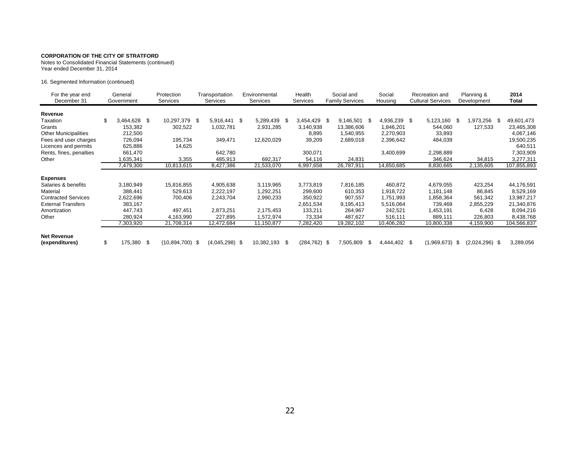Notes to Consolidated Financial Statements (continued) Year ended December 31, 2014

16. Segmented Information (continued)

| For the year end<br>December 31      | General<br>Government |              | Protection<br>Services | Transportation<br>Services | Environmental<br>Services |      | Health<br>Services |      | Social and<br><b>Family Services</b> |      | Social<br>Housing | Recreation and<br><b>Cultural Services</b> | Planning &<br>Development | 2014<br>Total |
|--------------------------------------|-----------------------|--------------|------------------------|----------------------------|---------------------------|------|--------------------|------|--------------------------------------|------|-------------------|--------------------------------------------|---------------------------|---------------|
| Revenue                              |                       |              |                        |                            |                           |      |                    |      |                                      |      |                   |                                            |                           |               |
| Taxation                             |                       | 3,464,628 \$ | 10,297,379 \$          | 5,916,441 \$               | 5,289,439                 | - \$ | 3,454,429          | - \$ | 9,146,501 \$                         |      | 4,936,239 \$      | 5,123,160 \$                               | 1,973,256<br>- 95         | 49,601,473    |
| Grants                               |                       | 153,382      | 302,522                | 1,032,781                  | 2,931,285                 |      | 3,140,938          |      | 13,386,606                           |      | 1,846,201         | 544,060                                    | 127,533                   | 23,465,308    |
| <b>Other Municipalities</b>          |                       | 212,500      |                        |                            |                           |      | 8,895              |      | 1,540,955                            |      | 2,270,903         | 33,893                                     |                           | 4,067,146     |
| Fees and user charges                |                       | 726,094      | 195,734                | 349,471                    | 12,620,029                |      | 39,209             |      | 2,689,018                            |      | 2,396,642         | 484,039                                    |                           | 19,500,235    |
| Licences and permits                 |                       | 625,886      | 14,625                 |                            |                           |      |                    |      |                                      |      |                   |                                            |                           | 640,511       |
| Rents, fines, penalties              |                       | 661,470      |                        | 642,780                    |                           |      | 300,071            |      |                                      |      | 3,400,699         | 2,298,889                                  |                           | 7,303,909     |
| Other                                |                       | 1,635,341    | 3,355                  | 485,913                    | 692,317                   |      | 54,116             |      | 24,831                               |      |                   | 346,624                                    | 34,815                    | 3,277,311     |
|                                      |                       | 7,479,300    | 10,813,615             | 8,427,386                  | 21,533,070                |      | 6,997,658          |      | 26,787,911                           |      | 14,850,685        | 8,830,665                                  | 2,135,605                 | 107,855,893   |
| <b>Expenses</b>                      |                       |              |                        |                            |                           |      |                    |      |                                      |      |                   |                                            |                           |               |
| Salaries & benefits                  |                       | 3,180,949    | 15,816,855             | 4,905,638                  | 3,119,965                 |      | 3,773,819          |      | 7,816,185                            |      | 460,872           | 4,679,055                                  | 423,254                   | 44,176,591    |
| Material                             |                       | 388,441      | 529,613                | 2,222,197                  | 1,292,251                 |      | 299,600            |      | 610,353                              |      | 1,918,722         | 1,181,148                                  | 86,845                    | 8,529,169     |
| <b>Contracted Services</b>           |                       | 2,622,696    | 700,406                | 2,243,704                  | 2,990,233                 |      | 350,922            |      | 907,557                              |      | 1,751,993         | 1,858,364                                  | 561,342                   | 13,987,217    |
| <b>External Transfers</b>            |                       | 383,167      |                        |                            |                           |      | 2,651,534          |      | 9,195,413                            |      | 5,516,064         | 739,469                                    | 2,855,229                 | 21,340,876    |
| Amortization                         |                       | 447,743      | 497,451                | 2,873,251                  | 2,175,453                 |      | 133,211            |      | 264,967                              |      | 242,521           | 1,453,191                                  | 6,428                     | 8,094,216     |
| Other                                |                       | 280,924      | 4,163,990              | 227,895                    | 1,572,974                 |      | 73,334             |      | 487,627                              |      | 516,111           | 889,111                                    | 226,803                   | 8,438,768     |
|                                      |                       | 7,303,920    | 21,708,314             | 12,472,684                 | 11,150,877                |      | 7,282,420          |      | 19,282,102                           |      | 10,406,282        | 10,800,338                                 | 4,159,900                 | 104,566,837   |
| <b>Net Revenue</b><br>(expenditures) | \$                    | 175,380 \$   | $(10,894,700)$ \$      | $(4,045,298)$ \$           | 10,382,193                | - \$ | $(284, 762)$ \$    |      | 7,505,809                            | - \$ | 4,444,402 \$      | $(1,969,673)$ \$                           | $(2,024,296)$ \$          | 3,289,056     |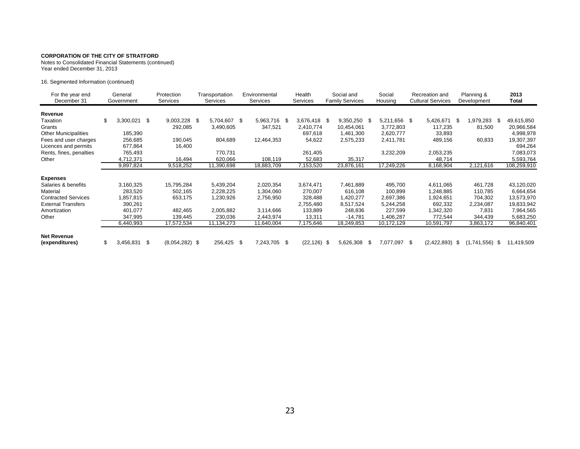Notes to Consolidated Financial Statements (continued) Year ended December 31, 2013

16. Segmented Information (continued)

| For the year end<br>December 31      | General<br>Government |           | Protection<br>Services | Transportation<br>Services | Environmental<br>Services |      | Health<br>Services |      | Social and<br><b>Family Services</b> |      | Social<br>Housing | Recreation and<br><b>Cultural Services</b> |      | Planning &<br>Development | 2013<br>Total |
|--------------------------------------|-----------------------|-----------|------------------------|----------------------------|---------------------------|------|--------------------|------|--------------------------------------|------|-------------------|--------------------------------------------|------|---------------------------|---------------|
| Revenue                              |                       |           |                        |                            |                           |      |                    |      |                                      |      |                   |                                            |      |                           |               |
| Taxation                             | \$                    | 3,300,021 | \$<br>$9,003,228$ \$   | 5,704,607 \$               | 5,963,716                 | - \$ | 3,676,418 \$       |      | 9,350,250 \$                         |      | 5,211,656 \$      | 5,426,671                                  | - \$ | ,979,283<br>- 95          | 49,615,850    |
| Grants                               |                       |           | 292,085                | 3,490,605                  | 347,521                   |      | 2,410,774          |      | 10,454,061                           |      | 3,772,803         | 117.235                                    |      | 81,500                    | 20,966,584    |
| <b>Other Municipalities</b>          |                       | 185,390   |                        |                            |                           |      | 697,618            |      | 1,461,300                            |      | 2,620,777         | 33,893                                     |      |                           | 4,998,978     |
| Fees and user charges                |                       | 256,685   | 190,045                | 804,689                    | 12,464,353                |      | 54,622             |      | 2,575,233                            |      | 2,411,781         | 489,156                                    |      | 60,833                    | 19,307,397    |
| Licences and permits                 |                       | 677,864   | 16,400                 |                            |                           |      |                    |      |                                      |      |                   |                                            |      |                           | 694,264       |
| Rents, fines, penalties              |                       | 765,493   |                        | 770,731                    |                           |      | 261,405            |      |                                      |      | 3,232,209         | 2,053,235                                  |      |                           | 7,083,073     |
| Other                                |                       | 4,712,371 | 16,494                 | 620,066                    | 108,119                   |      | 52,683             |      | 35,317                               |      |                   | 48,714                                     |      |                           | 5,593,764     |
|                                      |                       | 9,897,824 | 9,518,252              | 11,390,698                 | 18,883,709                |      | 7,153,520          |      | 23,876,161                           |      | 17,249,226        | 8,168,904                                  |      | 2,121,616                 | 108,259,910   |
| <b>Expenses</b>                      |                       |           |                        |                            |                           |      |                    |      |                                      |      |                   |                                            |      |                           |               |
| Salaries & benefits                  |                       | 3,160,325 | 15,795,284             | 5,439,204                  | 2,020,354                 |      | 3,674,471          |      | 7,461,889                            |      | 495,700           | 4,611,065                                  |      | 461,728                   | 43,120,020    |
| Material                             |                       | 283,520   | 502,165                | 2,228,225                  | 1,304,060                 |      | 270,007            |      | 616,108                              |      | 100,899           | 1,248,885                                  |      | 110,785                   | 6,664,654     |
| <b>Contracted Services</b>           |                       | 1,857,815 | 653,175                | 1,230,926                  | 2,756,950                 |      | 328,488            |      | 1,420,277                            |      | 2,697,386         | 1,924,651                                  |      | 704,302                   | 13,573,970    |
| <b>External Transfers</b>            |                       | 390,261   |                        |                            |                           |      | 2,755,480          |      | 8,517,524                            |      | 5,244,258         | 692,332                                    |      | 2,234,087                 | 19,833,942    |
| Amortization                         |                       | 401,077   | 482,465                | 2,005,882                  | 3,114,666                 |      | 133,889            |      | 248,836                              |      | 227,599           | 1,342,320                                  |      | 7,831                     | 7,964,565     |
| Other                                |                       | 347,995   | 139,445                | 230,036                    | 2,443,974                 |      | 13,311             |      | $-14,781$                            |      | 1,406,287         | 772,544                                    |      | 344,439                   | 5,683,250     |
|                                      |                       | 6,440,993 | 17,572,534             | 11,134,273                 | 11,640,004                |      | 7,175,646          |      | 18,249,853                           |      | 10,172,129        | 10,591,797                                 |      | 3,863,172                 | 96,840,401    |
| <b>Net Revenue</b><br>(expenditures) | \$                    | 3,456,831 | \$<br>$(8,054,282)$ \$ | 256,425                    | \$<br>7,243,705           | -\$  | (22, 126)          | - \$ | 5,626,308                            | - \$ | 7,077,097 \$      | (2,422,893)                                | - \$ | $(1,741,556)$ \$          | 11,419,509    |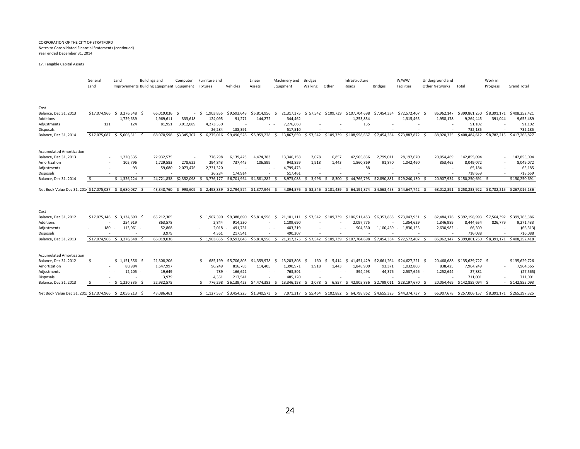#### CORPORATION OF THE CITY OF STRATFORD Notes to Consolidated Financial Statements (continued) Year ended December 31, 2014

17. Tangible Capital Assets

|                                          | General<br>Land | Land                     | <b>Buildings and</b><br>Improvements Building Equipment Equipment | Computer    | Furniture and<br>Fixtures       | Vehicles               | Linear<br>Assets | Machinery and<br>Equipment |                       | <b>Bridges</b><br>Walking | Other       | Infrastructure<br>Roads  | <b>Bridges</b> | w/ww<br>Facilities |     | Underground and<br><b>Other Networks</b> | Total                    | Work in<br>Progress      | <b>Grand Total</b>       |
|------------------------------------------|-----------------|--------------------------|-------------------------------------------------------------------|-------------|---------------------------------|------------------------|------------------|----------------------------|-----------------------|---------------------------|-------------|--------------------------|----------------|--------------------|-----|------------------------------------------|--------------------------|--------------------------|--------------------------|
| Cost                                     |                 |                          |                                                                   |             |                                 |                        |                  |                            |                       |                           |             |                          |                |                    |     |                                          |                          |                          |                          |
| Balance, Dec 31, 2013                    | \$17.074.966    | - Ś<br>3,276,548 \$      | 66,019,036                                                        | - \$        | 1,903,855<br>$-S$               | \$9,593,648            | \$5,814,956      | -Ŝ                         |                       | 21,317,375 \$ 57,542      | \$109,739   | \$107,704,698            | \$7.454.334    | \$72,572,407       | - S | 86,962,147                               | \$399,861,250            | \$8,391,171              | \$408,252,421            |
| Additions                                |                 | 1,729,639                | 1,969,611                                                         | 333,618     | 124,095                         | 91,271                 | 144,272          |                            | 344,462               |                           |             | 1,253,834                |                | 1,315,465          |     | 1,958,178                                | 9,264,445                | 391,044                  | 9,655,489                |
| Adjustments                              | 121             | 124                      | 81,951                                                            | 3,012,089   | 4,273,350                       |                        |                  | $\cdots$                   | 7,276,668             |                           |             | 135                      |                |                    |     |                                          | 91,102                   |                          | 91,102                   |
| Disposals                                |                 |                          |                                                                   |             | 26,284                          | 188,391                |                  |                            | 517,510               |                           |             |                          |                |                    |     |                                          | 732,185                  |                          | 732,185                  |
| Balance, Dec 31, 2014                    | \$17,075,087    | \$5,006,311              | 68,070,598                                                        | \$3,345,707 | 6,275,016<br>Ŝ.                 | \$9,496,528            | \$5,959,228      | -Ŝ                         | 13,867,659            | \$57,542                  | \$109,739   | \$108,958,667            | \$7,454,334    | \$73,887,872       |     | 88,920,325                               | \$408,484,612            | \$8,782,215              | \$417,266,827            |
|                                          |                 |                          |                                                                   |             |                                 |                        |                  |                            |                       |                           |             |                          |                |                    |     |                                          |                          |                          |                          |
| <b>Accumulated Amortization</b>          |                 |                          |                                                                   |             |                                 |                        |                  |                            |                       |                           |             |                          |                |                    |     |                                          |                          |                          |                          |
| Balance, Dec 31, 2013                    | ×.              | 1,220,335                | 22,932,575                                                        |             | 776,298                         | 6,139,423              | 4,474,383        |                            | 13,346,158            | 2,078                     | 6,857       | 42,905,836               | 2,799,011      | 28,197,670         |     | 20,054,469                               | 142,855,094              | $\overline{\phantom{0}}$ | 142,855,094              |
| Amortization                             |                 | 105,796                  | 1,729,583                                                         | 278,622     | 294,843                         | 737,445                | 106,899          |                            | 943,859               | 1,918                     | 1,443       | 1,860,869                | 91,870         | 1,042,460          |     | 853,465                                  | 8,049,072                | ٠                        | 8,049,072                |
| Adjustments                              |                 | 93                       | 59,680                                                            | 2,073,476   | 2,731,320                       |                        |                  | $\cdots$                   | 4,799,473             | $\overline{\phantom{a}}$  |             | 88                       |                |                    |     |                                          | 65,184                   |                          | 65,185                   |
| Disposals                                |                 |                          |                                                                   |             | 26.284                          | 174,914                |                  |                            | 517,461               |                           |             |                          |                |                    |     |                                          | 718,659                  | $\sim$                   | 718,659                  |
| Balance, Dec 31, 2014                    | Ŝ.              | $-$ \$ 1,326,224         | 24,721,838                                                        | \$2,352,098 | 3,776,177                       | \$6,701,954            | \$4,581,282      |                            | 8,973,083             | 3,996<br>-S               | 8,300<br>-Ŝ | \$44,766,793             | \$2,890,881    | \$29,240,130       |     | 20,907,934                               | \$150,250,691 \$         |                          | $-$ \$150,250,691        |
|                                          |                 |                          |                                                                   |             |                                 |                        |                  |                            |                       |                           |             |                          |                |                    |     |                                          |                          |                          |                          |
| Net Book Value Dec 31, 201 \$17,075,087  |                 | \$3,680,087              | 43,348,760                                                        | \$993,609   | 2.498.839<br>S.                 | \$2,794,574            | \$1,377,946      |                            |                       | 4,894,576 \$ 53,546       | \$101.439   | \$64.191.874             | \$4,563,453    | \$44.647.742       |     | 68,012,391                               | \$258,233,922            | \$8,782,215              | \$267.016.136            |
|                                          |                 |                          |                                                                   |             |                                 |                        |                  |                            |                       |                           |             |                          |                |                    |     |                                          |                          |                          |                          |
|                                          |                 |                          |                                                                   |             |                                 |                        |                  |                            |                       |                           |             |                          |                |                    |     |                                          |                          |                          |                          |
|                                          |                 |                          |                                                                   |             |                                 |                        |                  |                            |                       |                           |             |                          |                |                    |     |                                          |                          |                          |                          |
| Cost                                     |                 |                          |                                                                   |             |                                 |                        |                  |                            |                       |                           |             |                          |                |                    |     |                                          |                          |                          |                          |
| Balance, Dec 31, 2012                    | \$17,075,146 \$ | 3.134.690 \$             | 65,212,305                                                        |             | \$1.907.390                     | \$9,388,690            | \$5,814,956      | -Ŝ                         |                       | 21.101.111 \$ 57.542      | \$109,739   | \$106.511.453            | \$6,353,865    | \$73,047,931 \$    |     | 82,484,176                               | \$392,198,993            | \$7.564.392              | \$399,763,386            |
| Additions                                |                 | 254,919                  | 863,578                                                           |             | 2,844                           | 914,230                |                  |                            | 1,109,690             |                           |             | 2,097,775                |                | 1,354,629          |     | 1,846,989                                | 8,444,654                | 826,779                  | 9,271,433                |
| Adjustments                              | 180             | 113,061                  | 52,868                                                            |             | 2,018                           | 491,731                |                  | $\sim$ $\sim$              | 403,219               |                           |             | 904,530                  | 1,100,469      | 1,830,153          |     | 2,630,982                                | 66,309                   |                          | (66, 313)                |
| Disposals                                | \$17,074,966    | \$3,276,548              | 3,979<br>66,019,036                                               |             | 4.361<br>\$1.903.855            | 217.541<br>\$9,593,648 | \$5,814,956      |                            | 490,207<br>21,317,375 | \$57,542                  | \$109.739   | \$107,704,698            | \$7,454,334    | \$72,572,407       |     | 86,962,147                               | 716.088<br>\$399,861,250 | \$8,391,171              | 716,088<br>\$408,252,418 |
| Balance, Dec 31, 2013                    |                 |                          |                                                                   |             |                                 |                        |                  | -S                         |                       |                           |             |                          |                |                    |     |                                          |                          |                          |                          |
|                                          |                 |                          |                                                                   |             |                                 |                        |                  |                            |                       |                           |             |                          |                |                    |     |                                          |                          |                          |                          |
| <b>Accumulated Amortization</b>          |                 |                          |                                                                   |             |                                 |                        |                  |                            |                       |                           |             |                          |                |                    |     |                                          |                          |                          |                          |
| Balance, Dec 31, 2012                    | Ŝ.              | $-$ \$ 1,151,556 \$      | 21,308,206                                                        |             | 685.199<br>-S                   | \$5,706,803            | \$4,359,978      | -Ŝ                         | 13,203,808            | 160                       | 5,414<br>-Ŝ | 41,451,429<br>-S         | \$2,661,264    | \$24,627,221 \$    |     | 20,468,688                               | \$135,629,727 \$         |                          | $-$ \$135,629,726        |
| Amortization                             |                 | 80,984                   | 1,647,997                                                         |             | 96,249                          | 816,783                | 114,405          |                            | 1,390,971             | 1,918                     | 1,443       | 1,848,900                | 93,371         | 1,032,803          |     | 838,425                                  | 7,964,249                | $\overline{\phantom{a}}$ | 7,964,565                |
| Adjustments                              |                 | 12,205<br>$\sim$ $ \sim$ | 19,649                                                            |             | 789<br>$\overline{\phantom{a}}$ | 166,622                |                  | $\sim$ $ \sim$             | 763,501               | $\overline{\phantom{a}}$  |             | 394.493<br>$\sim$ $\sim$ | 44,376         | 2,537,646          |     | 1,252,644                                | 27,881                   |                          | (27, 565)                |
| <b>Disposals</b>                         |                 |                          | 3,979                                                             |             | 4,361                           | 217,541                |                  |                            | 485,120               |                           |             |                          |                |                    |     |                                          | 711,001                  | $\sim$                   | 711,001                  |
| Balance, Dec 31, 2013                    | Ŝ.              | $-5$ 1.220.335           | 22,932,575                                                        |             | 776.298<br>Ŝ.                   | \$6,139,423            | \$4,474,383      | -Ŝ                         | 13,346,158            | 2,078<br>-S               | 6,857<br>-Ŝ | \$42,905,836             | \$2,799,011    | \$28,197,670       |     | 20,054,469                               | \$142,855,094            |                          | $-$ \$142,855,093        |
|                                          |                 |                          |                                                                   |             |                                 |                        |                  |                            |                       |                           |             |                          |                |                    |     |                                          |                          |                          |                          |
| Net Book Value Dec 31, 201: \$17,074,966 |                 | \$2.056.213              | 43.086.461                                                        |             | \$1.127.557                     | \$3.454.225            | \$1.340.573      |                            | 7.971.217             | \$55.464                  | \$102.882   | \$64,798,862             | \$4,655,323    | \$44,374,737       | -S  | 66.907.678                               | \$257,006.157            | \$8.391.171              | \$265,397,325            |